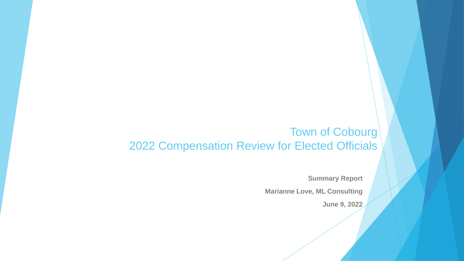#### Town of Cobourg 2022 Compensation Review for Elected Officials

**Summary Report**

**Marianne Love, ML Consulting**

**June 9, 2022**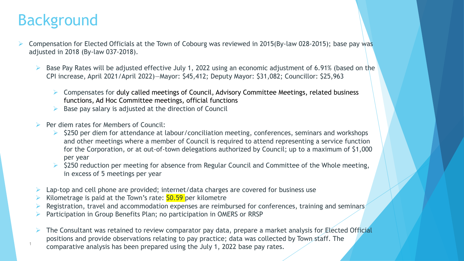### Background

- Compensation for Elected Officials at the Town of Cobourg was reviewed in 2015(By-law 028-2015); base pay was adjusted in 2018 (By-law 037-2018).
	- Base Pay Rates will be adjusted effective July 1, 2022 using an economic adjustment of 6.91% (based on the CPI increase, April 2021/April 2022)—Mayor: \$45,412; Deputy Mayor: \$31,082; Councillor: \$25,963
		- $\triangleright$  Compensates for duly called meetings of Council, Advisory Committee Meetings, related business functions, Ad Hoc Committee meetings, official functions
		- Base pay salary is adjusted at the direction of Council
	- Per diem rates for Members of Council:
		- \$250 per diem for attendance at labour/conciliation meeting, conferences, seminars and workshops and other meetings where a member of Council is required to attend representing a service function for the Corporation, or at out-of-town delegations authorized by Council; up to a maximum of \$1,000 per year
		- $\triangleright$  \$250 reduction per meeting for absence from Regular Council and Committee of the Whole meeting, in excess of 5 meetings per year
	- Lap-top and cell phone are provided; internet/data charges are covered for business use
	- Kilometrage is paid at the Town's rate: \$0.59 per kilometre
	- Registration, travel and accommodation expenses are reimbursed for conferences, training and seminars
	- Participation in Group Benefits Plan; no participation in OMERS or RRSP
	- The Consultant was retained to review comparator pay data, prepare a market analysis for Elected Official positions and provide observations relating to pay practice; data was collected by Town staff. The comparative analysis has been prepared using the July 1, 2022 base pay rates. <sup>1</sup>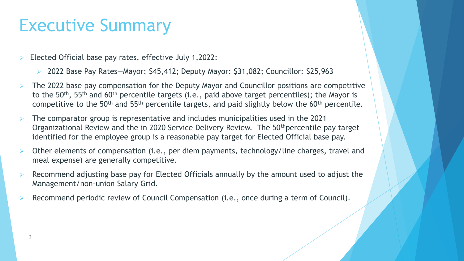## Executive Summary

- 3 Elected Official base pay rates, effective July 1,2022:
	- 2022 Base Pay Rates—Mayor: \$45,412; Deputy Mayor: \$31,082; Councillor: \$25,963
- The 2022 base pay compensation for the Deputy Mayor and Councillor positions are competitive to the  $50<sup>th</sup>$ ,  $55<sup>th</sup>$  and  $60<sup>th</sup>$  percentile targets (i.e., paid above target percentiles); the Mayor is competitive to the 50<sup>th</sup> and 55<sup>th</sup> percentile targets, and paid slightly below the 60<sup>th</sup> percentile.
- The comparator group is representative and includes municipalities used in the 2021 Organizational Review and the in 2020 Service Delivery Review. The 50<sup>th</sup>percentile pay target identified for the employee group is a reasonable pay target for Elected Official base pay.
- Other elements of compensation (i.e., per diem payments, technology/line charges, travel and meal expense) are generally competitive.
- Recommend adjusting base pay for Elected Officials annually by the amount used to adjust the Management/non-union Salary Grid.
- Recommend periodic review of Council Compensation (i.e., once during a term of Council).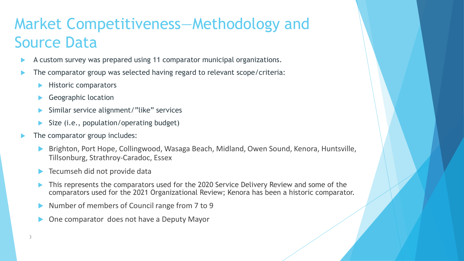### Market Competitiveness—Methodology and Source Data

- A custom survey was prepared using 11 comparator municipal organizations.
- The comparator group was selected having regard to relevant scope/criteria:
	- Historic comparators
	- Geographic location
	- Similar service alignment/"like" services
	- Size (i.e., population/operating budget)
- The comparator group includes:
	- Brighton, Port Hope, Collingwood, Wasaga Beach, Midland, Owen Sound, Kenora, Huntsville, Tillsonburg, Strathroy-Caradoc, Essex
	- Tecumseh did not provide data
	- This represents the comparators used for the 2020 Service Delivery Review and some of the comparators used for the 2021 Organizational Review; Kenora has been a historic comparator.
	- Number of members of Council range from 7 to 9
	- One comparator does not have a Deputy Mayor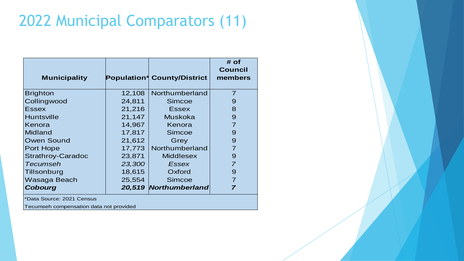### 2022 Municipal Comparators (11)

| <b>Municipality</b>       |        | <b>Population* County/District</b> | $#$ of<br><b>Council</b><br>members |
|---------------------------|--------|------------------------------------|-------------------------------------|
| <b>Brighton</b>           | 12,108 | Northumberland                     | $\overline{7}$                      |
| Collingwood               | 24,811 | <b>Simcoe</b>                      | 9                                   |
| <b>Essex</b>              | 21,216 | <b>Essex</b>                       | 8                                   |
| <b>Huntsville</b>         | 21,147 | <b>Muskoka</b>                     | 9                                   |
| Kenora                    | 14,967 | Kenora                             | $\overline{7}$                      |
| <b>Midland</b>            | 17,817 | Simcoe                             | 9                                   |
| <b>Owen Sound</b>         | 21,612 | Grey                               | 9                                   |
| <b>Port Hope</b>          | 17,773 | Northumberland                     |                                     |
| <b>Strathroy-Caradoc</b>  | 23,871 | <b>Middlesex</b>                   | 9                                   |
| Tecumseh                  | 23,300 | Essex                              |                                     |
| Tillsonburg               | 18,615 | Oxford                             | 9                                   |
| Wasaga Beach              | 25,554 | Simcoe                             | $\overline{7}$                      |
| <b>Cobourg</b>            |        | 20,519 Northumberland              |                                     |
| *Data Source: 2021 Census |        |                                    |                                     |

Tecumseh compensation data not provided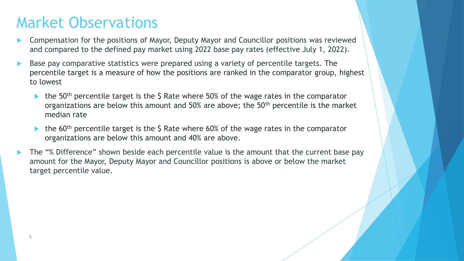- 6 and compared to the defined pay market using 2022 base pay rates (effective July 1, 2022). Compensation for the positions of Mayor, Deputy Mayor and Councillor positions was reviewed
- Base pay comparative statistics were prepared using a variety of percentile targets. The percentile target is a measure of how the positions are ranked in the comparator group, highest to lowest
	- the 50<sup>th</sup> percentile target is the  $\zeta$  Rate where 50% of the wage rates in the comparator organizations are below this amount and 50% are above; the 50<sup>th</sup> percentile is the market median rate
	- the  $60<sup>th</sup>$  percentile target is the \$ Rate where 60% of the wage rates in the comparator organizations are below this amount and 40% are above.
- The "% Difference" shown beside each percentile value is the amount that the current base pay amount for the Mayor, Deputy Mayor and Councillor positions is above or below the market target percentile value.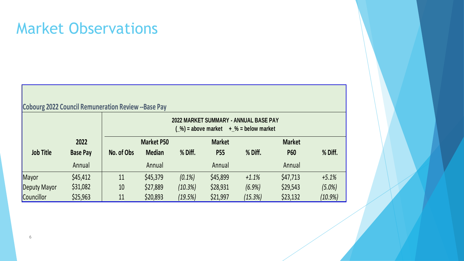| <b>Cobourg 2022 Council Remuneration Review --Base Pay</b> |                 |                                                                                                      |                   |           |               |         |               |            |  |  |  |
|------------------------------------------------------------|-----------------|------------------------------------------------------------------------------------------------------|-------------------|-----------|---------------|---------|---------------|------------|--|--|--|
|                                                            |                 | 2022 MARKET SUMMARY - ANNUAL BASE PAY<br>$\binom{0}{0}$ = above market + \cdot \times = below market |                   |           |               |         |               |            |  |  |  |
|                                                            | 2022            |                                                                                                      | <b>Market P50</b> |           | <b>Market</b> |         | <b>Market</b> |            |  |  |  |
| <b>Job Title</b>                                           | <b>Base Pay</b> | No. of Obs                                                                                           | <b>Median</b>     | % Diff.   | <b>P55</b>    | % Diff. | <b>P60</b>    | % Diff.    |  |  |  |
|                                                            | Annual          |                                                                                                      | Annual            |           | Annual        |         | Annual        |            |  |  |  |
| Mayor                                                      | \$45,412        | 11                                                                                                   | \$45,379          | $(0.1\%)$ | \$45,899      | $+1.1%$ | \$47,713      | $+5.1%$    |  |  |  |
| Deputy Mayor                                               | \$31,082        | 10                                                                                                   | \$27,889          | (10.3%)   | \$28,931      | (6.9%)  | \$29,543      | (5.0%)     |  |  |  |
| Councillor                                                 | \$25,963        | 11                                                                                                   | \$20,893          | (19.5%)   | \$21,997      | (15.3%) | \$23,132      | $(10.9\%)$ |  |  |  |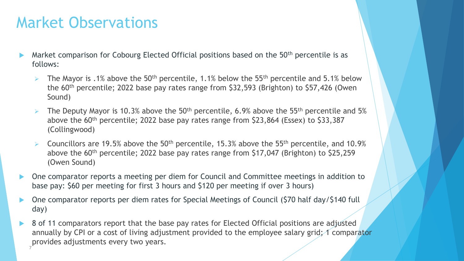- Market comparison for Cobourg Elected Official positions based on the 50<sup>th</sup> percentile is as follows:
	- The Mayor is .1% above the 50<sup>th</sup> percentile, 1.1% below the 55<sup>th</sup> percentile and 5.1% below the 60th percentile; 2022 base pay rates range from \$32,593 (Brighton) to \$57,426 (Owen Sound)
	- $\triangleright$  The Deputy Mayor is 10.3% above the 50<sup>th</sup> percentile, 6.9% above the 55<sup>th</sup> percentile and 5% above the  $60<sup>th</sup>$  percentile; 2022 base pay rates range from \$23,864 (Essex) to \$33,387 (Collingwood)
	- **EX** Councillors are 19.5% above the 50<sup>th</sup> percentile, 15.3% above the 55<sup>th</sup> percentile, and 10.9% above the 60<sup>th</sup> percentile; 2022 base pay rates range from \$17,047 (Brighton) to \$25,259 (Owen Sound)
- One comparator reports a meeting per diem for Council and Committee meetings in addition to base pay: \$60 per meeting for first 3 hours and \$120 per meeting if over 3 hours)
- One comparator reports per diem rates for Special Meetings of Council (\$70 half day/\$140 full day)
- 8 of 11 comparators report that the base pay rates for Elected Official positions are adjusted annually by CPI or a cost of living adjustment provided to the employee salary grid; 1 comparator provides adjustments every two years. 7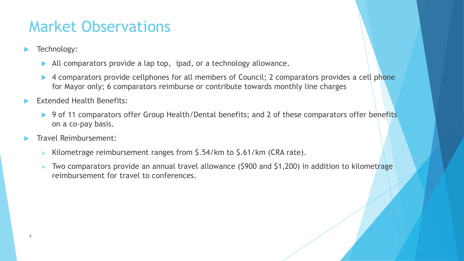- **Fechnology:** 
	- All comparators provide a lap top, ipad, or a technology allowance.
	- ▶ 4 comparators provide cellphones for all members of Council; 2 comparators provides a cell phone for Mayor only; 6 comparators reimburse or contribute towards monthly line charges
- Extended Health Benefits:
	- ▶ 9 of 11 comparators offer Group Health/Dental benefits; and 2 of these comparators offer benefits on a co-pay basis.
- Travel Reimbursement:
	- Kilometrage reimbursement ranges from \$.54/km to \$.61/km (CRA rate).
	- $\triangleright$  Two comparators provide an annual travel allowance (\$900 and \$1,200) in addition to kilometrage reimbursement for travel to conferences.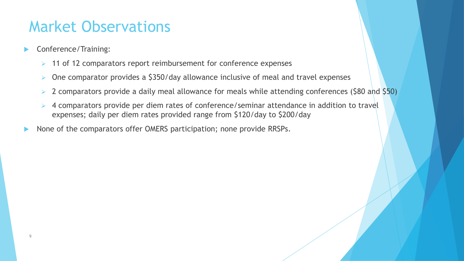- **Conference/Training:** 
	- 11 of 12 comparators report reimbursement for conference expenses
	- One comparator provides a \$350/day allowance inclusive of meal and travel expenses
	- 2 comparators provide a daily meal allowance for meals while attending conferences (\$80 and \$50)
	- 4 comparators provide per diem rates of conference/seminar attendance in addition to travel expenses; daily per diem rates provided range from \$120/day to \$200/day
- None of the comparators offer OMERS participation; none provide RRSPs.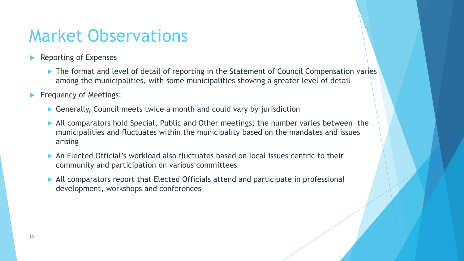- **Reporting of Expenses** 
	- ▶ The format and level of detail of reporting in the Statement of Council Compensation varies among the municipalities, with some municipalities showing a greater level of detail
- **Find Frequency of Meetings:** 
	- ▶ Generally, Council meets twice a month and could vary by jurisdiction
	- All comparators hold Special, Public and Other meetings; the number varies between the municipalities and fluctuates within the municipality based on the mandates and issues arising
	- An Elected Official's workload also fluctuates based on local issues centric to their community and participation on various committees
	- All comparators report that Elected Officials attend and participate in professional development, workshops and conferences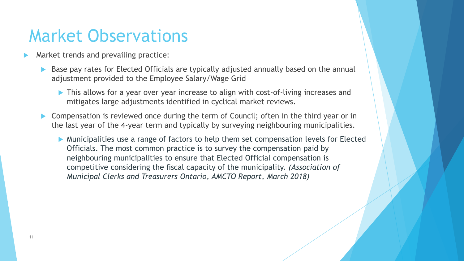- Market trends and prevailing practice:
	- Base pay rates for Elected Officials are typically adjusted annually based on the annual adjustment provided to the Employee Salary/Wage Grid
		- This allows for a year over year increase to align with cost-of-living increases and mitigates large adjustments identified in cyclical market reviews.
	- Compensation is reviewed once during the term of Council; often in the third year or in the last year of the 4-year term and typically by surveying neighbouring municipalities.
		- Municipalities use a range of factors to help them set compensation levels for Elected Officials. The most common practice is to survey the compensation paid by neighbouring municipalities to ensure that Elected Official compensation is competitive considering the fiscal capacity of the municipality. *(Association of Municipal Clerks and Treasurers Ontario, AMCTO Report, March 2018)*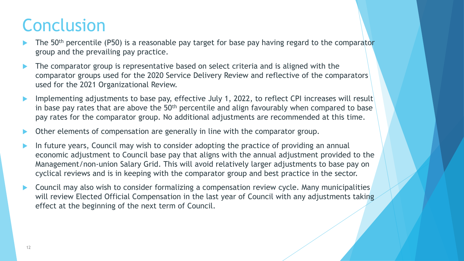# **Conclusion**

- group and the prevailing pay practice. The 50<sup>th</sup> percentile (P50) is a reasonable pay target for base pay having regard to the comparator
- The comparator group is representative based on select criteria and is aligned with the comparator groups used for the 2020 Service Delivery Review and reflective of the comparators used for the 2021 Organizational Review.
- Implementing adjustments to base pay, effective July 1, 2022, to reflect CPI increases will result in base pay rates that are above the  $50<sup>th</sup>$  percentile and align favourably when compared to base pay rates for the comparator group. No additional adjustments are recommended at this time.
- Other elements of compensation are generally in line with the comparator group.
- In future years, Council may wish to consider adopting the practice of providing an annual economic adjustment to Council base pay that aligns with the annual adjustment provided to the Management/non-union Salary Grid. This will avoid relatively larger adjustments to base pay on cyclical reviews and is in keeping with the comparator group and best practice in the sector.
- Council may also wish to consider formalizing a compensation review cycle. Many municipalities will review Elected Official Compensation in the last year of Council with any adjustments taking effect at the beginning of the next term of Council.